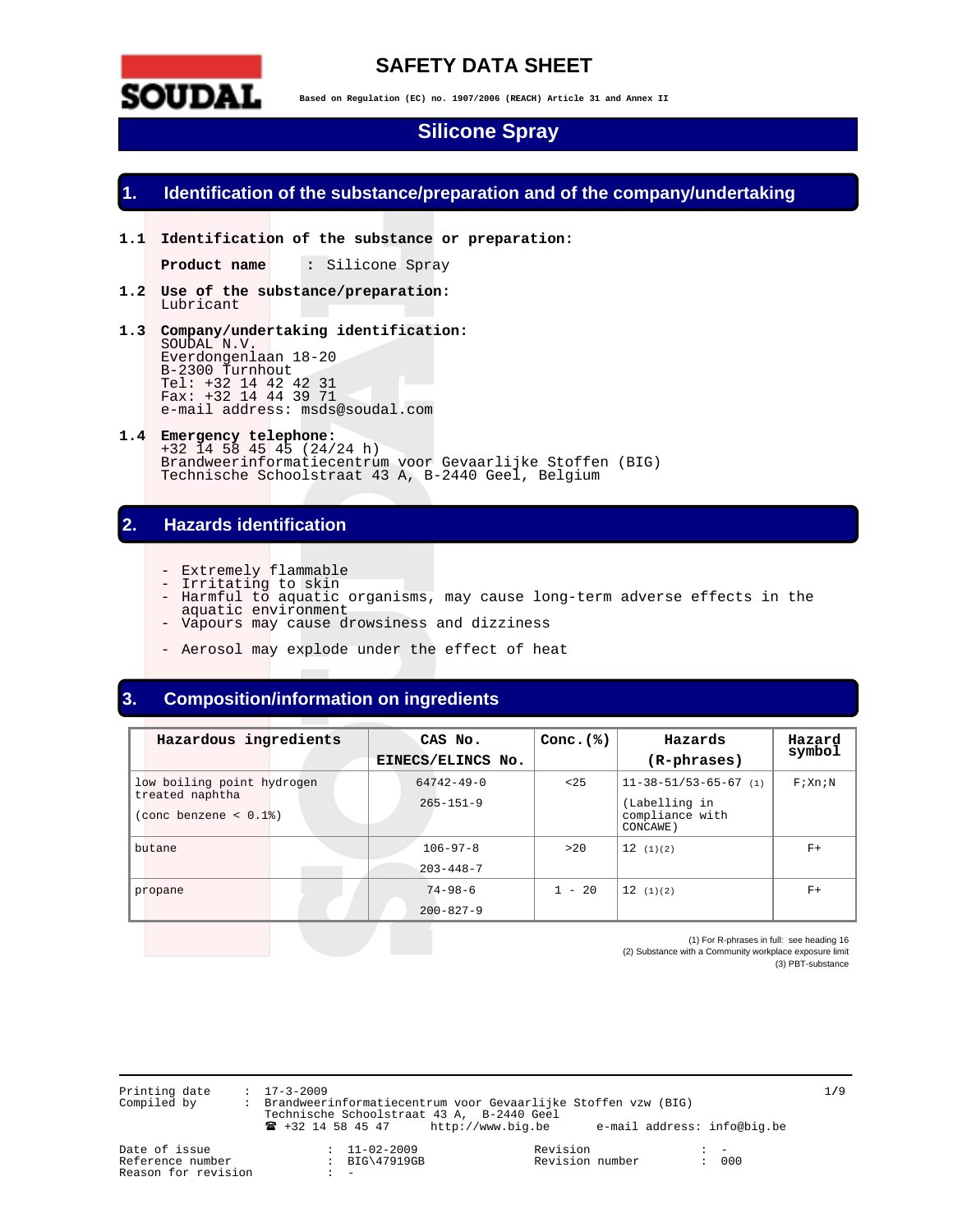

# **SAFETY DATA SHEET**

**Based on Regulation (EC) no. 1907/2006 (REACH) Article 31 and Annex II** 

# **Silicone Spray**

### **Identification of the substance/preparation and of the company/undertaking**

**1.1 Identification of the substance or preparation:** 

**Product name :** Silicone Spray

- **1.2 Use of the substance/preparation:**  Lubricant
- **1.3 Company/undertaking identification:**  SOUDAL N.V. Everdongenlaan 18-20 B-2300 Turnhout Tel: +32 14 42 42 31 Fax: +32 14 44 39 71 e-mail address: msds@soudal.com
- **1.4 Emergency telephone:**  +32 14 58 45 45 (24/24 h) Brandweerinformatiecentrum voor Gevaarlijke Stoffen (BIG) Technische Schoolstraat 43 A, B-2440 Geel, Belgium

### **2. Hazards identification**

- Extremely flammable
- Irritating to skin
- Harmful to aquatic organisms, may cause long-term adverse effects in the
	- aquatic environment - Vapours may cause drowsiness and dizziness
	- Aerosol may explode under the effect of heat

## **3. Composition/information on ingredients**

| Hazardous ingredients                                                             | CAS No.<br>EINECS/ELINCS No.        | Conc. $(*)$ | Hazards<br>(R-phrases)                                                          | Hazard<br>symbol |
|-----------------------------------------------------------------------------------|-------------------------------------|-------------|---------------------------------------------------------------------------------|------------------|
| low boiling point hydrogen<br>treated naphtha<br>$(cone \text{ benzene} < 0.1\%)$ | $64742 - 49 - 0$<br>$265 - 151 - 9$ | < 25        | $11 - 38 - 51/53 - 65 - 67$ (1)<br>(Labelling in<br>compliance with<br>CONCAWE) | F: Xn:N          |
| butane                                                                            | $106 - 97 - 8$<br>$203 - 448 - 7$   | >20         | 12(1)(2)                                                                        | $F+$             |
| propane                                                                           | $74 - 98 - 6$<br>$200 - 827 - 9$    | $1 - 20$    | 12(1)(2)                                                                        | $F+$             |

(1) For R-phrases in full: see heading 16 (2) Substance with a Community workplace exposure limit (3) PBT-substance

Printing date : 17-3-2009 1**/**9 Compiled by : Brandweerinformatiecentrum voor Gevaarlijke Stoffen vzw (BIG) Technische Schoolstraat 43 A, B-2440 Geel ! +32 14 58 45 47 http://www.big.be e-mail address: info@big.be

Reason for revision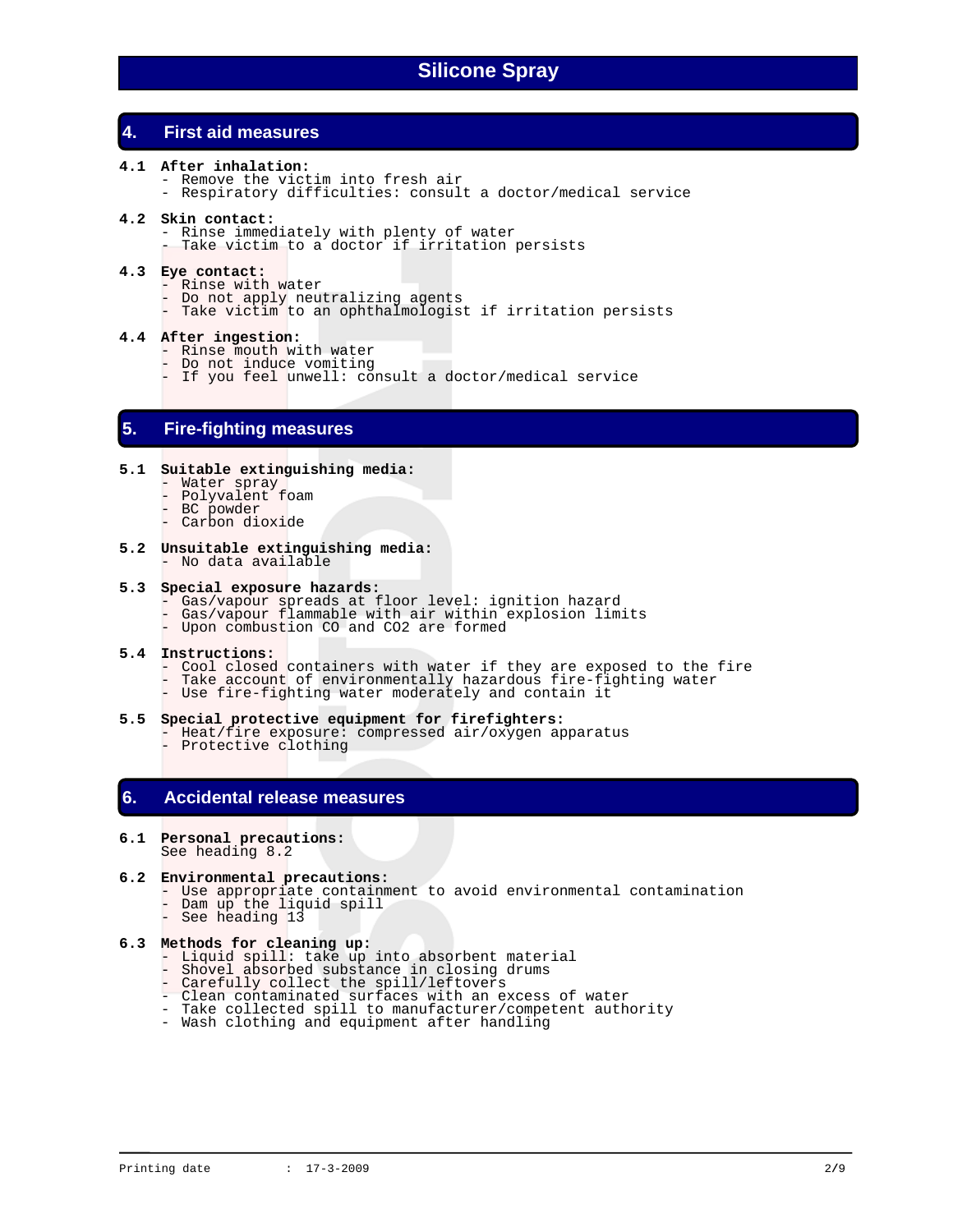# **4. First aid measures**

- **4.1 After inhalation:** 
	- Remove the victim into fresh air
	- Respiratory difficulties: consult a doctor/medical service

#### **4.2 Skin contact:**

- Rinse immediately with plenty of water
- Take victim to a doctor if irritation persists

#### **4.3 Eye contact:**

- Rinse with water
- Do not apply neutralizing agents
- Take victim to an ophthalmologist if irritation persists

#### **4.4 After ingestion:**

- Rinse mouth with water
- Do not induce vomiting
- If you feel unwell: consult a doctor/medical service

### **5. Fire-fighting measures**

#### **5.1 Suitable extinguishing media:**

- Water spray
- Polyvalent foam
- BC powder
- Carbon dioxide
- **5.2 Unsuitable extinguishing media:**  - No data available

#### **5.3 Special exposure hazards:**

- Gas/vapour spreads at floor level: ignition hazard
- Gas/vapour flammable with air within explosion limits
	- Upon combustion CO and CO2 are formed

#### **5.4 Instructions:**

- Cool closed containers with water if they are exposed to the fire
- Take account of environmentally hazardous fire-fighting water
	- Use fire-fighting water moderately and contain it

#### **5.5 Special protective equipment for firefighters:**

 - Heat/fire exposure: compressed air/oxygen apparatus - Protective clothing

## **6. Accidental release measures**

#### **6.1 Personal precautions:**  See heading 8.2

#### **6.2 Environmental precautions:**

- Use appropriate containment to avoid environmental contamination
- Dam up the liquid spill - See heading 13

# **6.3 Methods for cleaning up:**

- Liquid spill: take up into absorbent material
- Shovel absorbed substance in closing drums
	- Carefully collect the spill/leftovers
	- Clean contaminated surfaces with an excess of water
	- Take collected spill to manufacturer/competent authority
	- Wash clothing and equipment after handling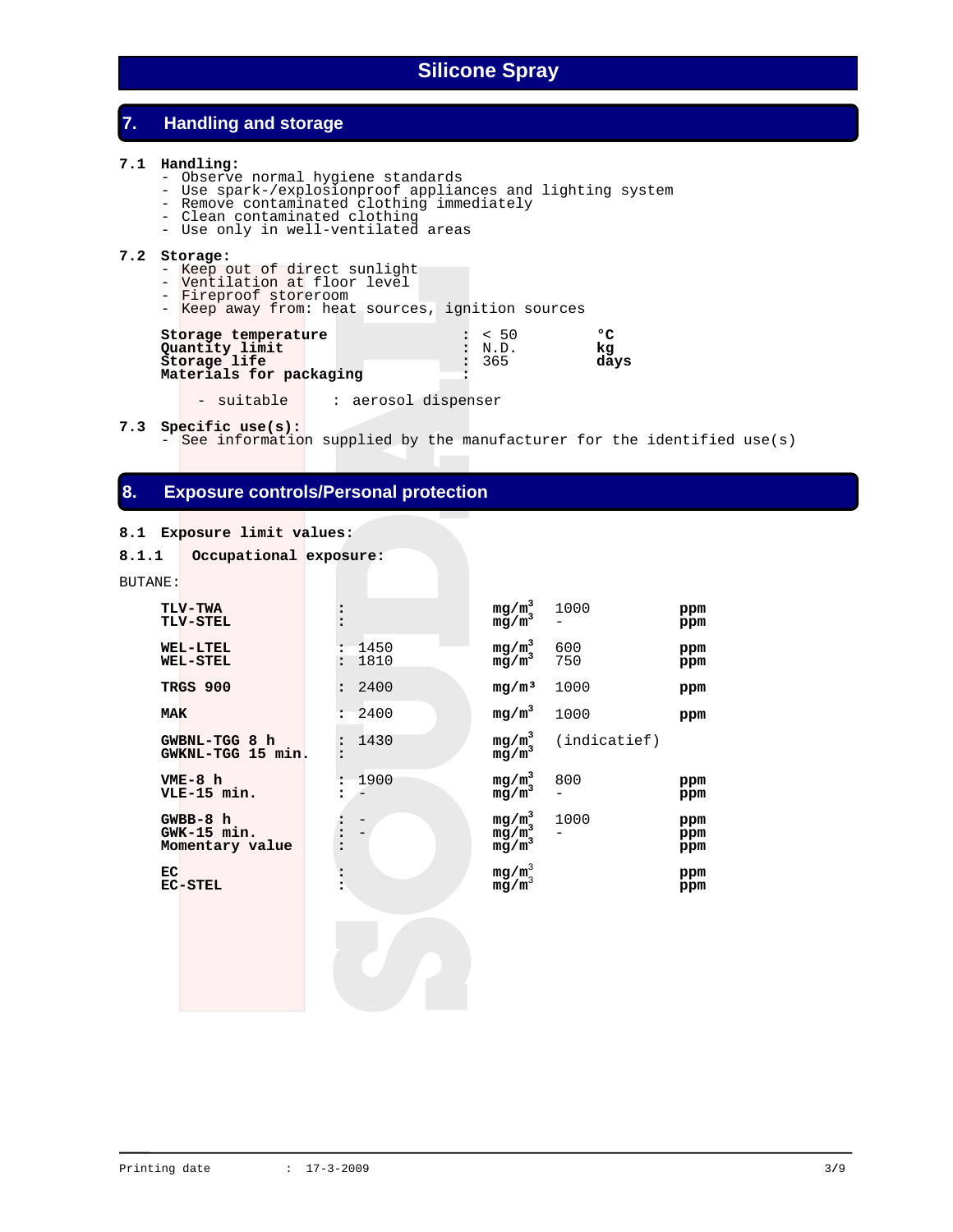## **7. Handling and storage**

#### **7.1 Handling:**

- Observe normal hygiene standards
- Use spark-/explosionproof appliances and lighting system
- Remove contaminated clothing immediately
	- Clean contaminated clothing
	- Use only in well-ventilated areas

#### **7.2 Storage:**

- Keep out of direct sunlight
- Ventilation at floor level
- Fireproof storeroom
- Keep away from: heat sources, ignition sources

| Storage temperature     | : 50   | חס   |
|-------------------------|--------|------|
| Quantity limit          | : N.D. | kα   |
| Storage life            | : 365  | davs |
| Materials for packaging |        |      |

- suitable | : aerosol dispenser

#### **7.3 Specific use(s):**

See information supplied by the manufacturer for the identified use(s)

- **ppm**

750 **ppm**

- **ppm** 

**ppm** 

**ppm** 

**ppm** 

### **8. Exposure controls/Personal protection**

#### **8.1 Exposure limit values:**

```
8.1.1 Occupational exposure:
BUTANE:
     \begin{array}{ccc} {\rm TLV-TWA} & \hspace{1.5cm} & \hspace{1.5cm} {\rm mg/m}^3 \\ {\rm TLV-STEL} & \hspace{1.5cm} {\rm mg/m}^3 \end{array} 1000 ppm
      TLV-STEL : mg/m3
     WEL-LTEL : 1450 mg/m<sup>3</sup><br>WEL-STEL : 1810 mg/m<sup>3</sup>
                                                      600 ppm
     WEL-STEL TRGS 900 : 2400 mg/m³ 1000 ppm 
      MAK : 2400 mg/m3
                                                      1000 ppm
 GWBNL-TGG 8 h : 1430 mg/m3
                                             mg/m^3 (indicatief)<br>mg/m^3 GWKNL-TGG 15 min. : mg/m3
     VME-8 h : 1900 mg/m<sup>3</sup><br>
<b>VLE-15 min. : - mg/m<sup>3</sup>
                                                      800 ppm 
      VLE-15 min. : - mg/m3
                                                      - ppm 
     GWBB-8 h : - mg/m<sup>3</sup><br>
GWK-15 min. : - mg/m<sup>3</sup><br>
Momentary value : <br>
mg/m^3<br>
mg/m^3 1000 ppm 
     GWK-15 min.<br>2. Momentary value :
     Momentary value
 EC : mg/m3
     EC<br>EC-STEL : mg/m^3<br>mg/m^3
```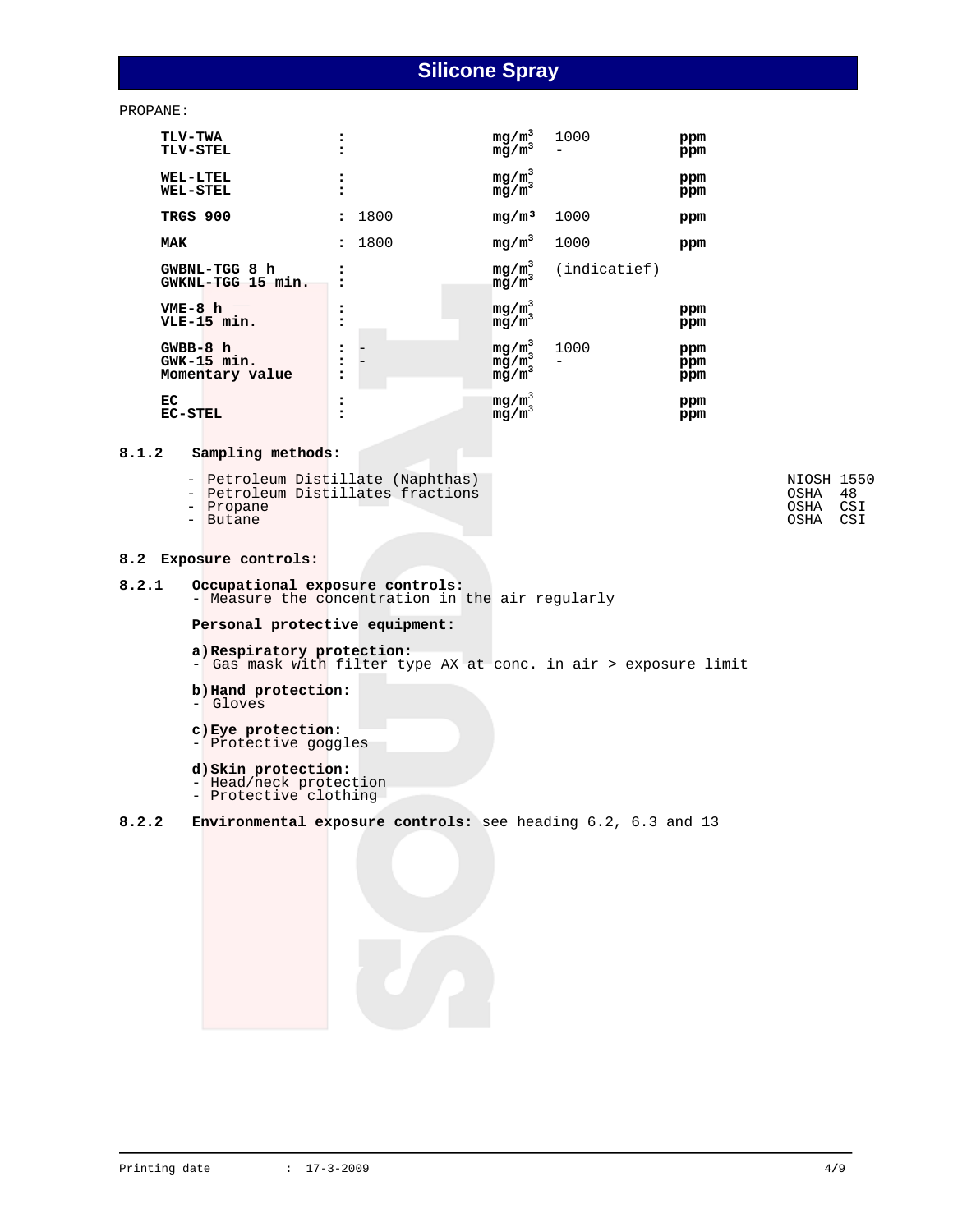PROPANE:

| <b>TLV-TWA</b><br><b>TLV-STEL</b>              |              |      | $mg/m^3$<br>mg/m <sup>3</sup>    | 1000         | ppm<br>ppm        |
|------------------------------------------------|--------------|------|----------------------------------|--------------|-------------------|
| <b>WEL-LTEL</b><br><b>WEL-STEL</b>             |              |      | $mg/m^3$<br>$mg/m^3$             |              | ppm<br>ppm        |
| TRGS 900                                       |              | 1800 | mg/m <sup>3</sup>                | 1000         | ppm               |
| MAK                                            | $\mathbf{r}$ | 1800 | $mg/m^3$                         | 1000         | ppm               |
| GWBNL-TGG 8 h<br>GWKNL-TGG 15 min.             |              |      | $mg/m^3$<br>$mg/m^3$             | (indicatief) |                   |
| $VME-8h$<br>VLE-15 min.                        |              |      | $mg/m^3$<br>mg/m                 |              | ppm<br>ppm        |
| $GWBB-8$ h<br>$GWK-15 min.$<br>Momentary value |              |      | $mg/m^3$<br>$mg/m^3$<br>$mg/m^3$ | 1000         | ppm<br>ppm<br>ppm |
| EC<br><b>EC-STEL</b>                           |              |      | $mg/m^3$<br>mg/m                 |              | ppm<br>ppm        |

### **8.1.2 Sampling methods:**

| - Petroleum Distillate (Naphthas) | NIOSH 1550 |  |
|-----------------------------------|------------|--|
| - Petroleum Distillates fractions | OSHA 48    |  |
| - Propane                         | OSHA CSI   |  |
| - Butane                          | OSHA CSI   |  |

# **8.2.1 Occupational exposure controls:**

- Measure the concentration in the air regularly

#### **Personal protective equipment:**

- **a) Respiratory protection:**  - Gas mask with filter type AX at conc. in air > exposure limit
- **b) Hand protection:**  - Gloves
- **c) Eye protection:**
- Protective goggles

#### **d) Skin protection:**

- Head/neck protection
- Protective clothing
- **8.2.2 Environmental exposure controls:** see heading 6.2, 6.3 and 13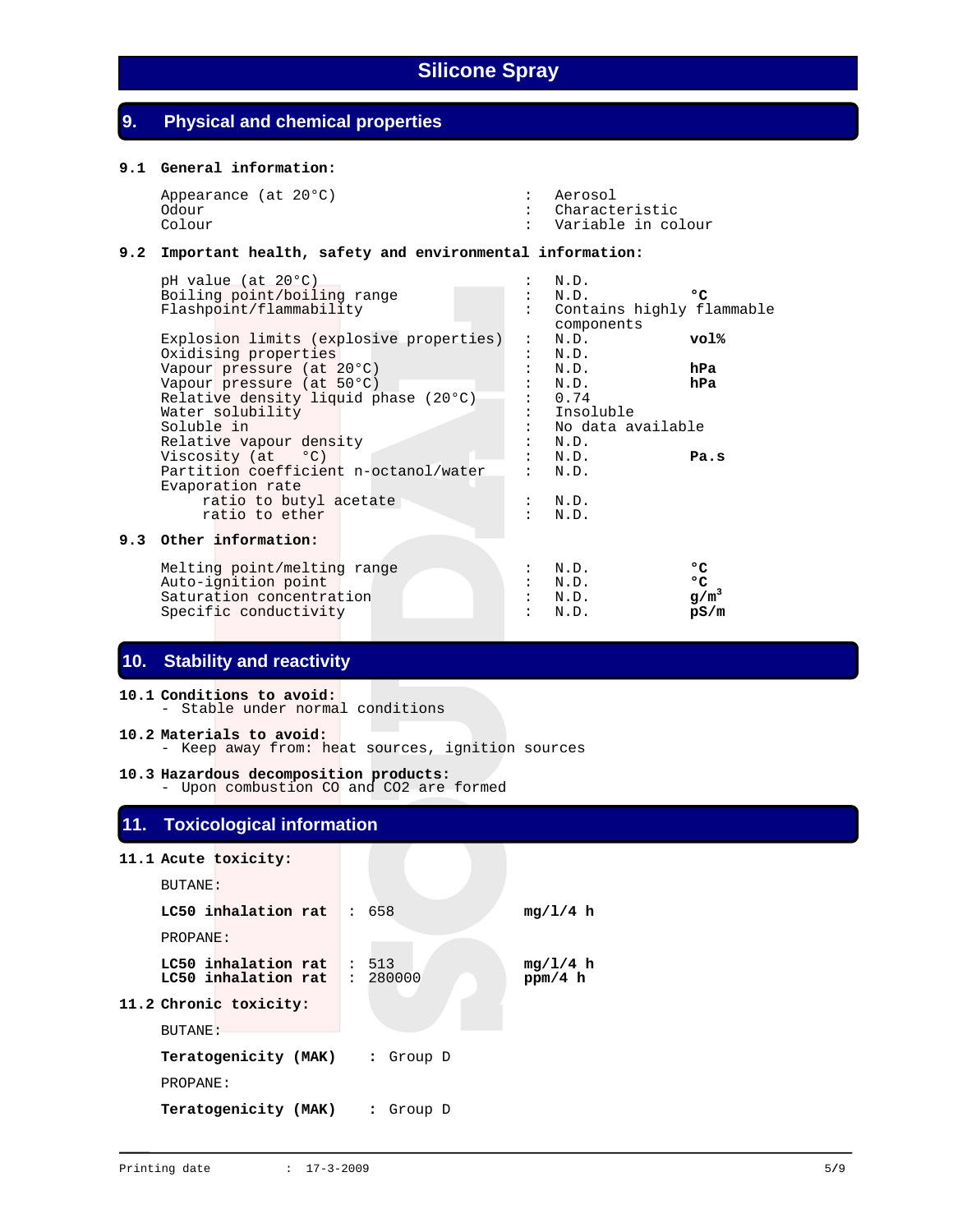# **9. Physical and chemical properties**

#### **9.1 General information:**

| Appearance (at 20°C) | : Aerosol          |
|----------------------|--------------------|
| Odour                | : Characteristic   |
| Colour               | Variable in colour |

#### **9.2 Important health, safety and environmental information:**

| pH value (at 20°C)                      |                | N.D.                                    |              |
|-----------------------------------------|----------------|-----------------------------------------|--------------|
| Boiling point/boiling range             |                | N.D.                                    | $^{\circ}$ C |
| Flashpoint/flammability                 |                | Contains highly flammable<br>components |              |
| Explosion limits (explosive properties) | $\ddot{\cdot}$ | N.D.                                    | vol%         |
| Oxidising properties                    |                | N.D.                                    |              |
| Vapour pressure (at 20°C)               |                | N.D.                                    | hPa          |
| Vapour pressure (at 50°C)               |                | N.D.                                    | hPa          |
| Relative density liquid phase (20°C)    |                | 0.74                                    |              |
| Water solubility                        |                | Insoluble                               |              |
| Soluble in                              |                | No data available                       |              |
| Relative vapour density                 |                | N.D.                                    |              |
| Viscosity $(at \t oC)$                  |                | N.D.                                    | Pa.s         |
| Partition coefficient n-octanol/water   |                | N.D.                                    |              |
| Evaporation rate                        |                |                                         |              |
| ratio to butyl acetate                  |                | N.D.                                    |              |
| ratio to ether                          |                | N.D.                                    |              |
|                                         |                |                                         |              |
| 9.3 Other information:                  |                |                                         |              |
|                                         |                |                                         |              |
| Melting point/melting range             |                | N.D.                                    | °C           |
| Auto-ignition point                     |                | N.D.                                    | ۰c           |
| Saturation concentration                |                | N.D.                                    | $g/m^3$      |
| Specific conductivity                   |                | N.D.                                    | pS/m         |

# **10. Stability and reactivity**

**10.1 Conditions to avoid:**  - Stable under normal conditions **10.2 Materials to avoid:**  - Keep away from: heat sources, ignition sources

**10.3 Hazardous decomposition products:**  - Upon combustion CO and CO2 are formed

# **11. Toxicological information**

|                | 11.1 Acute toxicity:                                          |           |                     |
|----------------|---------------------------------------------------------------|-----------|---------------------|
| BUTANE:        |                                                               |           |                     |
|                | LC50 inhalation rat $\mid$ : 658                              |           | mq/l/4 h            |
| PROPANE:       |                                                               |           |                     |
|                | LC50 inhalation rat : $513$<br>$LC50$ inhalation rat : 280000 |           | mq/1/4 h<br>ppm/4 h |
|                | 11.2 Chronic toxicity:                                        |           |                     |
| <b>BUTANE:</b> |                                                               |           |                     |
|                | Teratogenicity (MAK)                                          | : Group D |                     |
| PROPANE:       |                                                               |           |                     |
|                | Teratogenicity (MAK)                                          | : Group D |                     |
|                |                                                               |           |                     |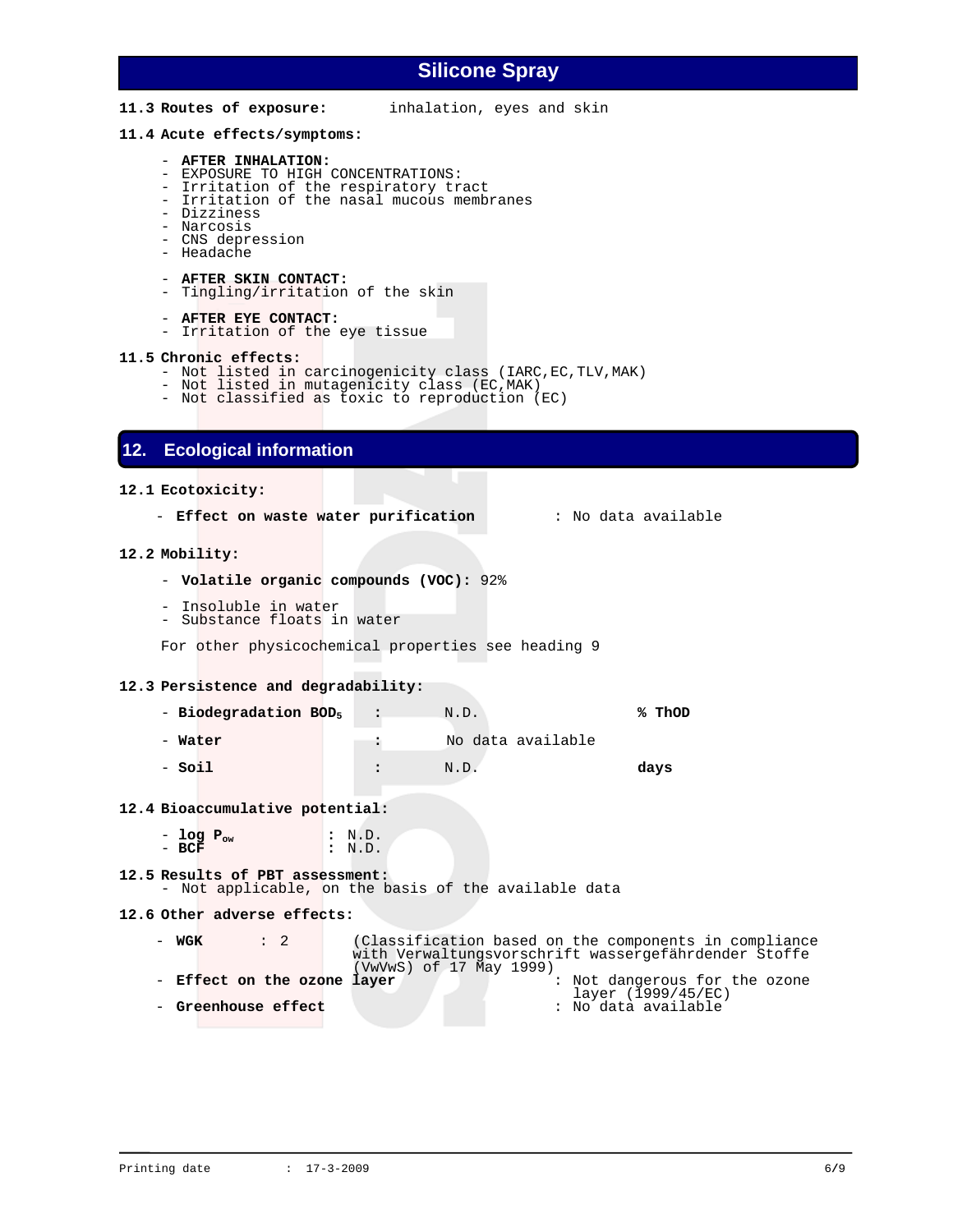**11.3 Routes of exposure:** inhalation, eyes and skin

#### **11.4 Acute effects/symptoms:**

#### - **AFTER INHALATION:**

- EXPOSURE TO HIGH CONCENTRATIONS:
- Irritation of the respiratory tract
- Irritation of the nasal mucous membranes
- Dizziness
- Narcosis
- CNS depression - Headache
- 
- **AFTER SKIN CONTACT:**
- Tingling/irritation of the skin
- **AFTER EYE CONTACT:**
- Irritation of the eye tissue

#### **11.5 Chronic effects:**

- Not listed in carcinogenicity class (IARC, EC, TLV, MAK)
- Not listed in mutagenicity class (EC,MAK)
- Not classified as toxic to reproduction (EC)

### **12. Ecological information**

#### **12.1 Ecotoxicity:**

- **Effect on waste water purification** : No data available

#### **12.2 Mobility:**

- **Volatile organic compounds (VOC):** 92%
- Insoluble in water
- Substance floats in water

For other physicochemical properties see heading 9

#### **12.3 Persistence and degradability:**

- - **Biodegradation BOD5 :** N.D. **% ThOD**
- - **Water :** No data available
- - **Soil :** N.D. **days**

#### **12.4 Bioaccumulative potential:**

- **log Pow :** N.D. - **BCF :** N.D.

#### **12.5 Results of PBT assessment:** - Not applicable, on the basis of the available data

#### **12.6 Other adverse effects:**

- **WGK** : 2 (Classification based on the components in compliance with Verwaltungsvorschrift wassergefährdender Stoffe - **Effect on the ozone layer**  $\qquad \qquad :$  Not dangerous for the ozone layer (1999/45/EC) layer (1999/45/EC) - **Greenhouse effect** : No data available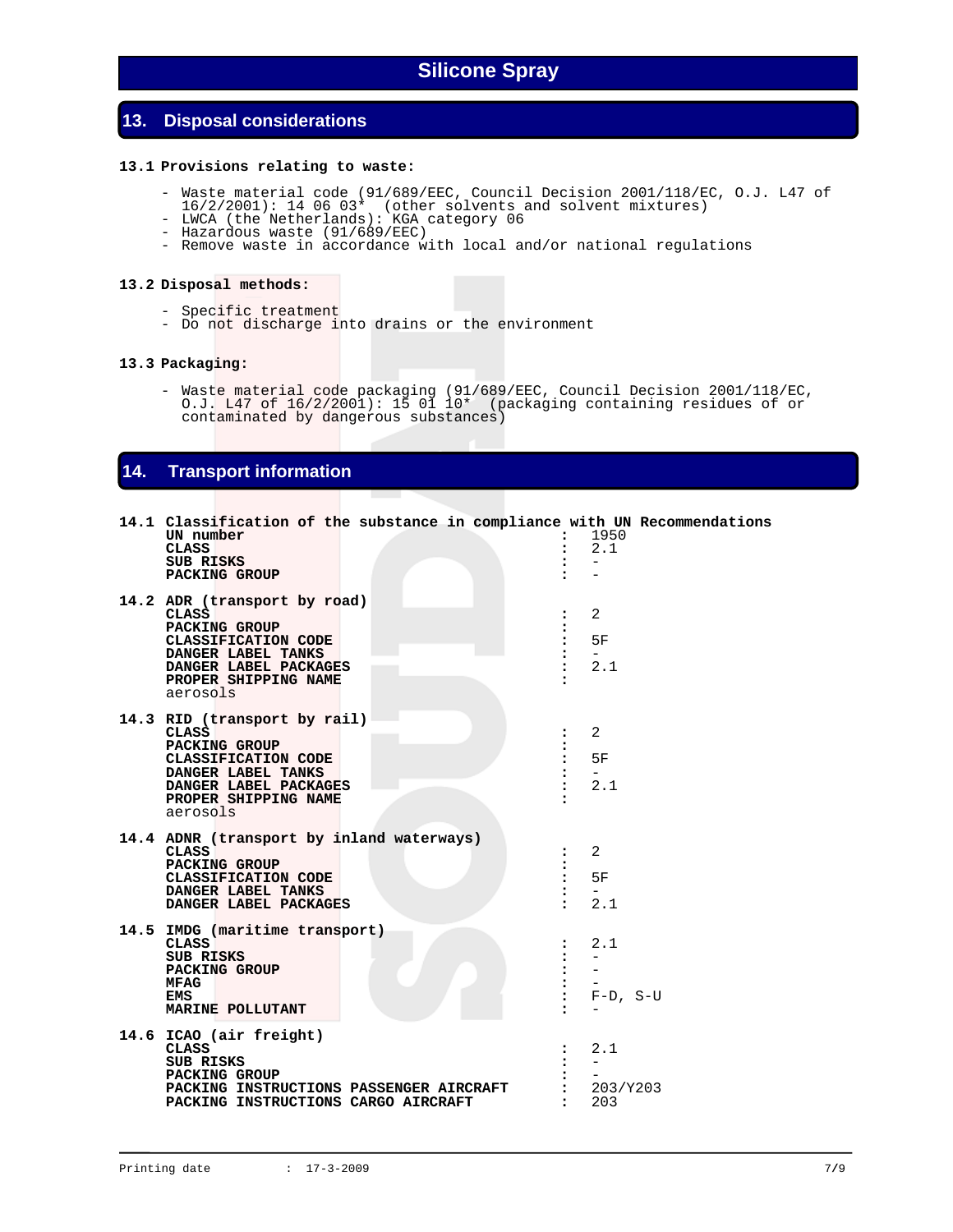# **13. Disposal considerations**

#### **13.1 Provisions relating to waste:**

- Waste material code (91/689/EEC, Council Decision 2001/118/EC, O.J. L47 of  $16/2/2001$ : 14 06 03\* (other solvents and solvent mixtures)
- LWCA (the Netherlands): KGA category 06
- Hazardous waste (91/689/EEC)
- Remove waste in accordance with local and/or national regulations

#### **13.2 Disposal methods:**

- Specific treatment
- Do not discharge into drains or the environment

#### **13.3 Packaging:**

 - Waste material code packaging (91/689/EEC, Council Decision 2001/118/EC, O.J. L47 of 16/2/2001): 15 01 10\* (packaging containing residues of or contaminated by dangerous substances)

### **14. Transport information**

| 14.1 Classification of the substance in compliance with UN Recommendations<br>UN number<br><b>CLASS</b><br><b>SUB RISKS</b><br>PACKING GROUP                            | $\ddot{\phantom{a}}$<br>$\ddot{\phantom{a}}$                                                | 1950<br>2.1<br>$\qquad \qquad -$                                      |
|-------------------------------------------------------------------------------------------------------------------------------------------------------------------------|---------------------------------------------------------------------------------------------|-----------------------------------------------------------------------|
| 14.2 ADR (transport by road)<br>CLASS<br>PACKING GROUP<br>CLASSIFICATION CODE<br>DANGER LABEL TANKS<br>DANGER LABEL PACKAGES<br>PROPER SHIPPING NAME<br>aerosols        | $\ddot{\phantom{a}}$<br>፡<br>$\ddot{\cdot}$<br>$\ddot{\phantom{a}}$<br>$\ddot{\phantom{a}}$ | 2<br>5F<br>$-$<br>2.1                                                 |
| 14.3 RID (transport by rail)<br><b>CLASS</b><br>PACKING GROUP<br>CLASSIFICATION CODE<br>DANGER LABEL TANKS<br>DANGER LABEL PACKAGES<br>PROPER SHIPPING NAME<br>aerosols | $\ddot{\phantom{a}}$<br>$\ddot{\phantom{a}}$<br>$\ddot{\phantom{a}}$                        | 2<br>5F<br>$-$<br>2.1                                                 |
| 14.4 ADNR (transport by inland waterways)<br>CLASS<br>PACKING GROUP<br>CLASSIFICATION CODE<br>DANGER LABEL TANKS<br>DANGER LABEL PACKAGES                               | $\ddot{\phantom{a}}$<br>:                                                                   | 2<br>5F<br>$-$<br>2.1                                                 |
| 14.5 IMDG (maritime transport)<br><b>CLASS</b><br>SUB RISKS<br>PACKING GROUP<br>MFAG<br>EMS<br>MARINE POLLUTANT                                                         |                                                                                             | 2.1<br>$\overline{\phantom{a}}$<br>$\qquad \qquad -$<br>$F-D$ , $S-U$ |
| 14.6 ICAO (air freight)<br>CLASS<br>SUB RISKS<br>PACKING GROUP<br>PACKING INSTRUCTIONS PASSENGER AIRCRAFT<br>PACKING INSTRUCTIONS CARGO AIRCRAFT                        | $\ddot{\phantom{a}}$<br>$\ddot{\phantom{a}}$                                                | 2.1<br>$\overline{\phantom{0}}$<br>203/Y203<br>203                    |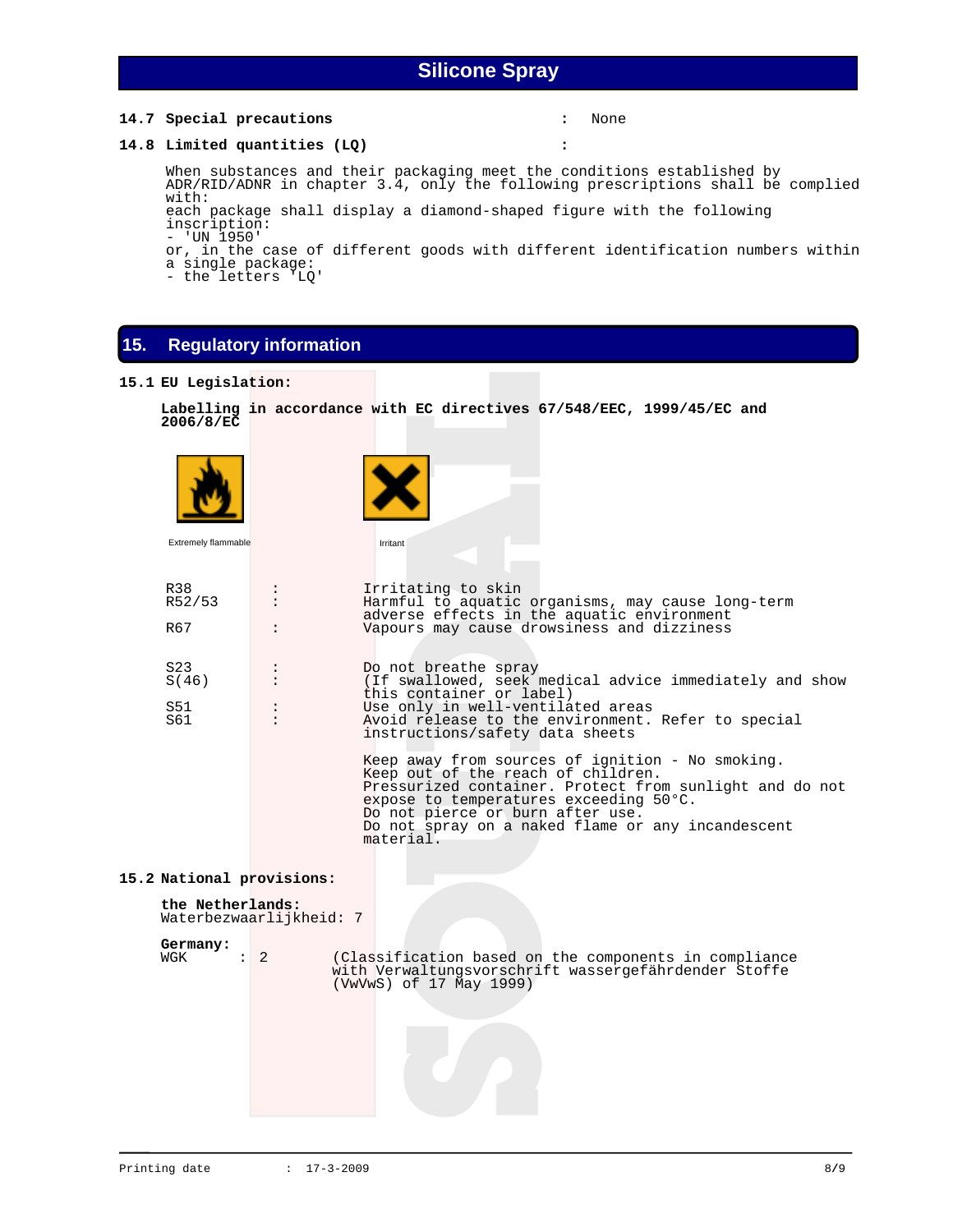#### **14.7 Special precautions :** None

#### **14.8 Limited quantities (LQ) :**

 When substances and their packaging meet the conditions established by ADR/RID/ADNR in chapter 3.4, only the following prescriptions shall be complied with: each package shall display a diamond-shaped figure with the following

inscription: - 'UN 1950'

or, in the case of different goods with different identification numbers within a single package:

- the letters 'LQ'

## **15. Regulatory information**

#### **15.1 EU Legislation:**

```
 Labelling in accordance with EC directives 67/548/EEC, 1999/45/EC and 
2006/8/EC
```

| Extremely flammable       | Irritant                                                                                                                                                                                                                                                                                          |
|---------------------------|---------------------------------------------------------------------------------------------------------------------------------------------------------------------------------------------------------------------------------------------------------------------------------------------------|
| R38<br>R52/53             | Irritating to skin<br>$\ddot{\cdot}$<br>Harmful to aquatic organisms, may cause long-term<br>$\ddot{\phantom{a}}$<br>adverse effects in the aquatic environment                                                                                                                                   |
| R67                       | Vapours may cause drowsiness and dizziness                                                                                                                                                                                                                                                        |
| S <sub>23</sub><br>S(46)  | Do not breathe spray<br>$\ddot{\phantom{a}}$<br>(If swallowed, seek medical advice immediately and show<br>$\ddot{\phantom{a}}$<br>this container or label)                                                                                                                                       |
| S51<br>S61                | Use only in well-ventilated areas<br>Avoid release to the environment. Refer to special<br>instructions/safety data sheets                                                                                                                                                                        |
|                           | Keep away from sources of ignition - No smoking.<br>Keep out of the reach of children.<br>Pressurized container. Protect from sunlight and do not<br>expose to temperatures exceeding 50°C.<br>Do not pierce or burn after use.<br>Do not spray on a naked flame or any incandescent<br>material. |
| 15.2 National provisions: |                                                                                                                                                                                                                                                                                                   |
| the Netherlands:          | Waterbezwaarlijkheid: 7                                                                                                                                                                                                                                                                           |
| Germany:<br>WGK           | $\colon$ 2<br>(Classification based on the components in compliance<br>with Verwaltungsvorschrift wassergefährdender Stoffe<br>(VwVwS) of 17 May 1999)                                                                                                                                            |